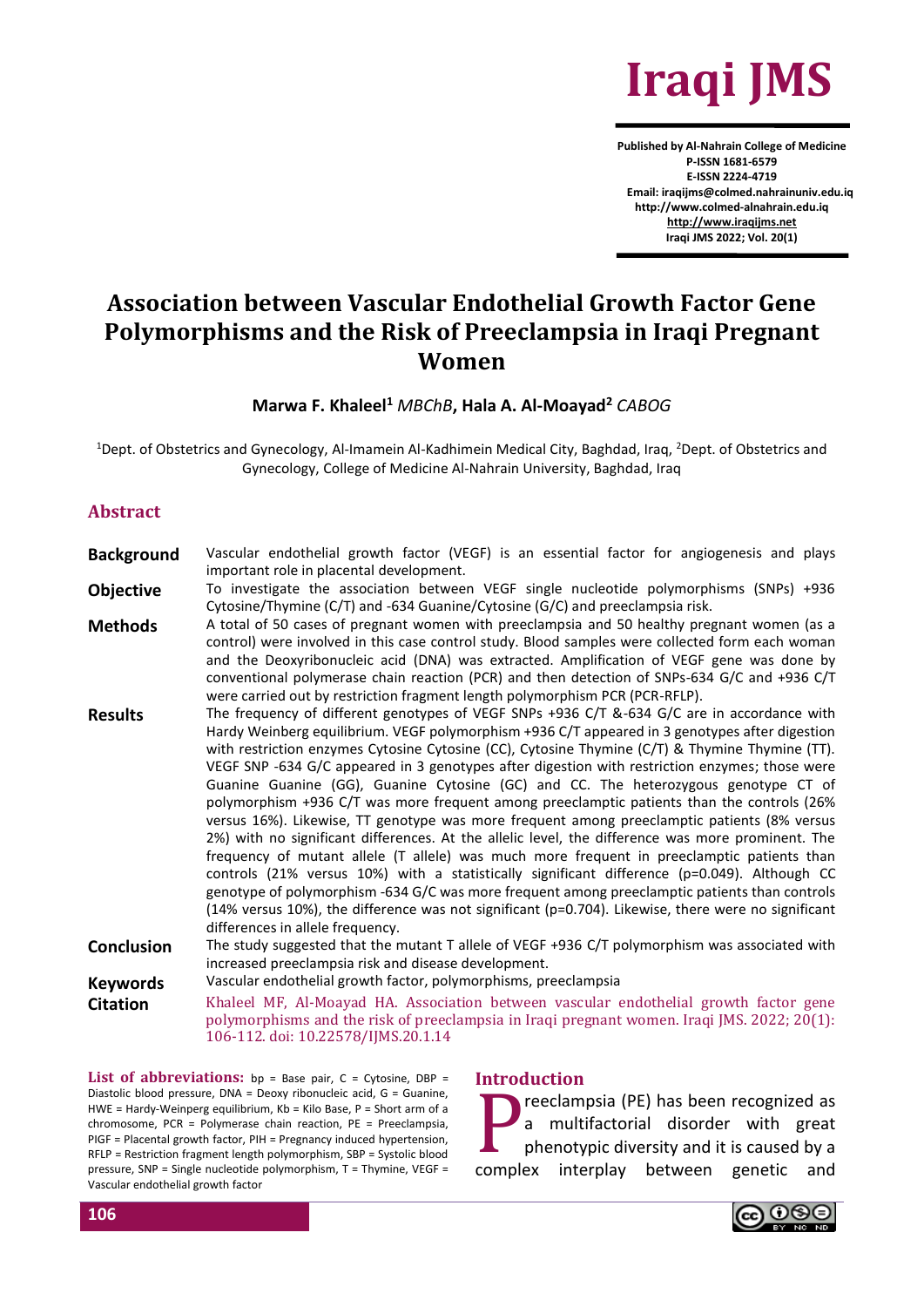

**Published by Al-Nahrain College of Medicine P-ISSN 1681-6579 E-ISSN 2224-4719 Email: iraqijms@colmed.nahrainuniv.edu.iq http://www.colmed-alnahrain.edu.iq [http://www.iraqijms.net](http://www.iraqijms.net/) Iraqi JMS 2022; Vol. 20(1)**

# **Association between Vascular Endothelial Growth Factor Gene Polymorphisms and the Risk of Preeclampsia in Iraqi Pregnant Women**

#### **Marwa F. Khaleel<sup>1</sup>** *MBChB***, Hala A. Al-Moayad<sup>2</sup>** *CABOG*

<sup>1</sup>Dept. of Obstetrics and Gynecology, Al-Imamein Al-Kadhimein Medical City, Baghdad, Iraq, <sup>2</sup>Dept. of Obstetrics and Gynecology, College of Medicine Al-Nahrain University, Baghdad, Iraq

#### **Abstract**

| <b>Background</b>              | Vascular endothelial growth factor (VEGF) is an essential factor for angiogenesis and plays<br>important role in placental development.                                                                                                                                                                                                                                                                                                                                                                                                                                                                                                                                                                                                                                                                                                                                                                                                                                                                                                                                                                                                                                                                                                   |
|--------------------------------|-------------------------------------------------------------------------------------------------------------------------------------------------------------------------------------------------------------------------------------------------------------------------------------------------------------------------------------------------------------------------------------------------------------------------------------------------------------------------------------------------------------------------------------------------------------------------------------------------------------------------------------------------------------------------------------------------------------------------------------------------------------------------------------------------------------------------------------------------------------------------------------------------------------------------------------------------------------------------------------------------------------------------------------------------------------------------------------------------------------------------------------------------------------------------------------------------------------------------------------------|
| <b>Objective</b>               | To investigate the association between VEGF single nucleotide polymorphisms (SNPs) +936<br>Cytosine/Thymine (C/T) and -634 Guanine/Cytosine (G/C) and preeclampsia risk.                                                                                                                                                                                                                                                                                                                                                                                                                                                                                                                                                                                                                                                                                                                                                                                                                                                                                                                                                                                                                                                                  |
| <b>Methods</b>                 | A total of 50 cases of pregnant women with preeclampsia and 50 healthy pregnant women (as a<br>control) were involved in this case control study. Blood samples were collected form each woman<br>and the Deoxyribonucleic acid (DNA) was extracted. Amplification of VEGF gene was done by<br>conventional polymerase chain reaction (PCR) and then detection of SNPs-634 G/C and +936 C/T<br>were carried out by restriction fragment length polymorphism PCR (PCR-RFLP).                                                                                                                                                                                                                                                                                                                                                                                                                                                                                                                                                                                                                                                                                                                                                               |
| <b>Results</b>                 | The frequency of different genotypes of VEGF SNPs +936 C/T &-634 G/C are in accordance with<br>Hardy Weinberg equilibrium. VEGF polymorphism +936 C/T appeared in 3 genotypes after digestion<br>with restriction enzymes Cytosine Cytosine (CC), Cytosine Thymine (C/T) & Thymine Thymine (TT).<br>VEGF SNP -634 G/C appeared in 3 genotypes after digestion with restriction enzymes; those were<br>Guanine Guanine (GG), Guanine Cytosine (GC) and CC. The heterozygous genotype CT of<br>polymorphism +936 C/T was more frequent among preeclamptic patients than the controls (26%<br>versus 16%). Likewise, TT genotype was more frequent among preeclamptic patients (8% versus<br>2%) with no significant differences. At the allelic level, the difference was more prominent. The<br>frequency of mutant allele (T allele) was much more frequent in preeclamptic patients than<br>controls (21% versus 10%) with a statistically significant difference ( $p=0.049$ ). Although CC<br>genotype of polymorphism -634 G/C was more frequent among preeclamptic patients than controls<br>(14% versus 10%), the difference was not significant (p=0.704). Likewise, there were no significant<br>differences in allele frequency. |
| <b>Conclusion</b>              | The study suggested that the mutant T allele of VEGF +936 C/T polymorphism was associated with<br>increased preeclampsia risk and disease development.                                                                                                                                                                                                                                                                                                                                                                                                                                                                                                                                                                                                                                                                                                                                                                                                                                                                                                                                                                                                                                                                                    |
| <b>Keywords</b>                | Vascular endothelial growth factor, polymorphisms, preeclampsia                                                                                                                                                                                                                                                                                                                                                                                                                                                                                                                                                                                                                                                                                                                                                                                                                                                                                                                                                                                                                                                                                                                                                                           |
| <b>Citation</b>                | Khaleel MF, Al-Moayad HA. Association between vascular endothelial growth factor gene<br>polymorphisms and the risk of preeclampsia in Iraqi pregnant women. Iraqi JMS. 2022; 20(1):<br>106-112. doi: 10.22578/IJMS.20.1.14                                                                                                                                                                                                                                                                                                                                                                                                                                                                                                                                                                                                                                                                                                                                                                                                                                                                                                                                                                                                               |
| アイション・カー しょうしょう こうしょうしょう しょうかい | the contract of the contract of the contract of the contract of the contract of the contract of the contract of                                                                                                                                                                                                                                                                                                                                                                                                                                                                                                                                                                                                                                                                                                                                                                                                                                                                                                                                                                                                                                                                                                                           |

**List of abbreviations:** bp = Base pair, C = Cytosine, DBP = Diastolic blood pressure, DNA = Deoxy ribonucleic acid, G = Guanine, HWE = Hardy-Weinperg equilibrium, Kb = Kilo Base, P = Short arm of a chromosome, PCR = Polymerase chain reaction, PE = Preeclampsia, PIGF = Placental growth factor, PIH = Pregnancy induced hypertension, RFLP = Restriction fragment length polymorphism, SBP = Systolic blood pressure, SNP = Single nucleotide polymorphism, T = Thymine, VEGF = Vascular endothelial growth factor

#### **Introduction**

reeclampsia (PE) has been recognized as a multifactorial disorder with great phenotypic diversity and it is caused by a complex interplay between genetic and P

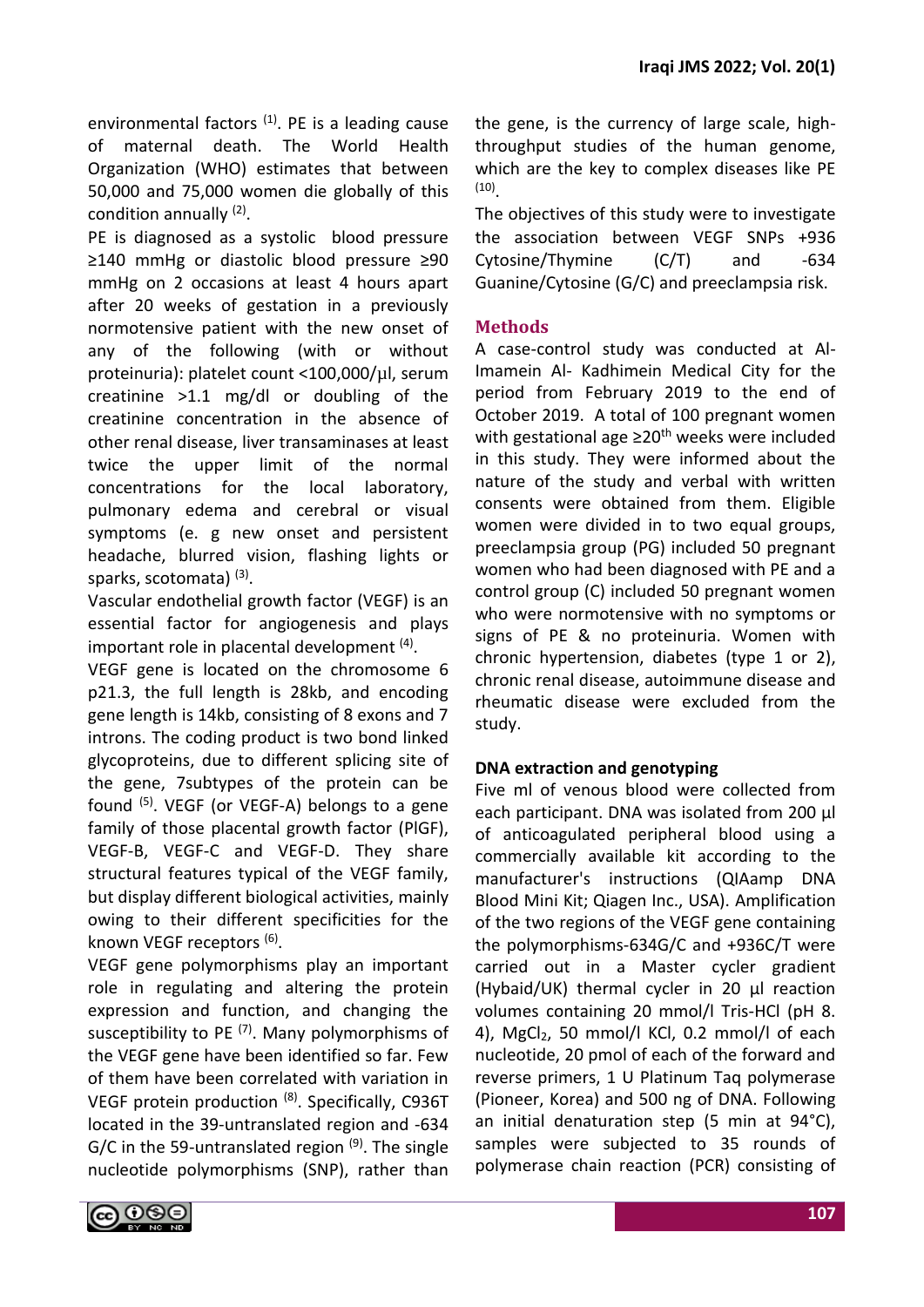environmental factors<sup>(1)</sup>. PE is a leading cause of maternal death. The World Health Organization (WHO) estimates that between 50,000 and 75,000 women die globally of this condition annually <sup>(2)</sup>.

PE is diagnosed as a systolic blood pressure ≥140 mmHg or diastolic blood pressure ≥90 mmHg on 2 occasions at least 4 hours apart after 20 weeks of gestation in a previously normotensive patient with the new onset of any of the following (with or without proteinuria): platelet count <100,000/µl, serum creatinine  $>1.1$  mg/dl or doubling of the creatinine concentration in the absence of other renal disease, liver transaminases at least twice the upper limit of the normal concentrations for the local laboratory, pulmonary edema and cerebral or visual symptoms (e. g new onset and persistent headache, blurred vision, flashing lights or sparks, scotomata)<sup>(3)</sup>.

Vascular endothelial growth factor (VEGF) is an essential factor for angiogenesis and plays important role in placental development <sup>(4)</sup>.

VEGF gene is located on the chromosome 6 p21.3, the full length is 28kb, and encoding gene length is 14kb, consisting of 8 exons and 7 introns. The coding product is two bond linked glycoproteins, due to different splicing site of the gene, 7subtypes of the protein can be found  $(5)$ . VEGF (or VEGF-A) belongs to a gene family of those placental growth factor (PlGF), VEGF-B, VEGF-C and VEGF-D. They share structural features typical of the VEGF family, but display different biological activities, mainly owing to their different specificities for the known VEGF receptors<sup>(6)</sup>.

VEGF gene polymorphisms play an important role in regulating and altering the protein expression and function, and changing the susceptibility to PE<sup>(7)</sup>. Many polymorphisms of the VEGF gene have been identified so far. Few of them have been correlated with variation in VEGF protein production <sup>(8)</sup>. Specifically, C936T located in the 39-untranslated region and -634 G/C in the 59-untranslated region  $(9)$ . The single nucleotide polymorphisms (SNP), rather than the gene, is the currency of large scale, highthroughput studies of the human genome, which are the key to complex diseases like PE (10) .

The objectives of this study were to investigate the association between VEGF SNPs +936 Cytosine/Thymine (C/T) and -634 Guanine/Cytosine (G/C) and preeclampsia risk.

# **Methods**

A case-control study was conducted at Al-Imamein Al- Kadhimein Medical City for the period from February 2019 to the end of October 2019. A total of 100 pregnant women with gestational age ≥20<sup>th</sup> weeks were included in this study. They were informed about the nature of the study and verbal with written consents were obtained from them. Eligible women were divided in to two equal groups, preeclampsia group (PG) included 50 pregnant women who had been diagnosed with PE and a control group (C) included 50 pregnant women who were normotensive with no symptoms or signs of PE & no proteinuria. Women with chronic hypertension, diabetes (type 1 or 2), chronic renal disease, autoimmune disease and rheumatic disease were excluded from the study.

# **DNA extraction and genotyping**

Five ml of venous blood were collected from each participant. DNA was isolated from 200  $\mu$ of anticoagulated peripheral blood using a commercially available kit according to the manufacturer's instructions (QIAamp DNA Blood Mini Kit; Qiagen Inc., USA). Amplification of the two regions of the VEGF gene containing the polymorphisms-634G/C and +936C/T were carried out in a Master cycler gradient (Hybaid/UK) thermal cycler in 20 µl reaction volumes containing 20 mmol/l Tris-HCl (pH 8. 4), MgCl<sub>2</sub>, 50 mmol/l KCl, 0.2 mmol/l of each nucleotide, 20 pmol of each of the forward and reverse primers, 1 U Platinum Taq polymerase (Pioneer, Korea) and 500 ng of DNA. Following an initial denaturation step (5 min at 94°C), samples were subjected to 35 rounds of polymerase chain reaction (PCR) consisting of

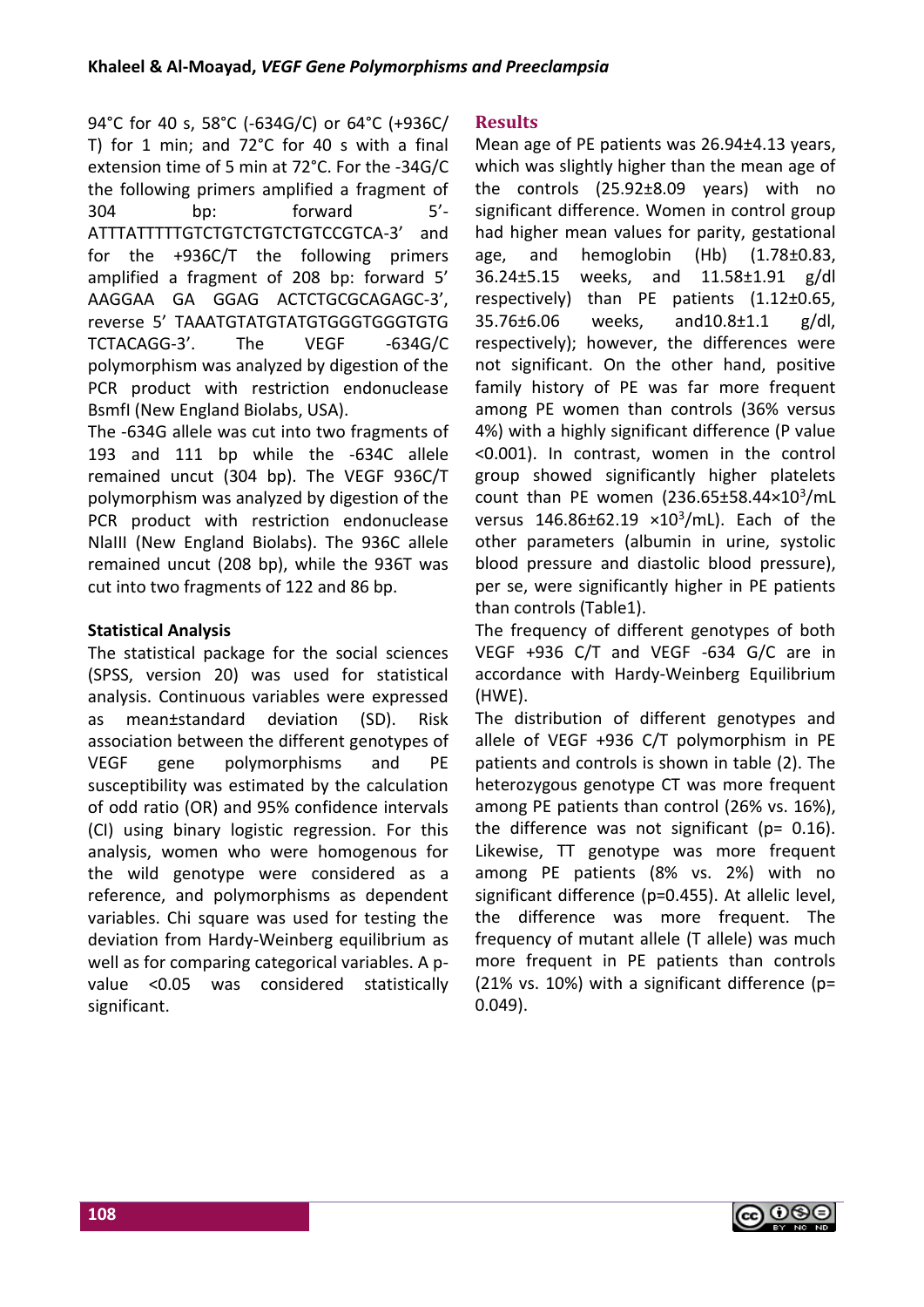94°C for 40 s, 58°C (-634G/C) or 64°C (+936C/ T) for 1 min; and 72°C for 40 s with a final extension time of 5 min at 72°C. For the -34G/C the following primers amplified a fragment of 304 bp: forward 5'- ATTTATTTTTGTCTGTCTGTCTGTCCGTCA-3' and for the +936C/T the following primers amplified a fragment of 208 bp: forward 5' AAGGAA GA GGAG ACTCTGCGCAGAGC-3', reverse 5' TAAATGTATGTATGTGGGTGGGTGTG TCTACAGG-3'. The VEGF -634G/C polymorphism was analyzed by digestion of the PCR product with restriction endonuclease BsmfI (New England Biolabs, USA).

The -634G allele was cut into two fragments of 193 and 111 bp while the -634C allele remained uncut (304 bp). The VEGF 936C/T polymorphism was analyzed by digestion of the PCR product with restriction endonuclease NlaIII (New England Biolabs). The 936C allele remained uncut (208 bp), while the 936T was cut into two fragments of 122 and 86 bp.

### **Statistical Analysis**

The statistical package for the social sciences (SPSS, version 20) was used for statistical analysis. Continuous variables were expressed as mean±standard deviation (SD). Risk association between the different genotypes of VEGF gene polymorphisms and PE susceptibility was estimated by the calculation of odd ratio (OR) and 95% confidence intervals (CI) using binary logistic regression. For this analysis, women who were homogenous for the wild genotype were considered as a reference, and polymorphisms as dependent variables. Chi square was used for testing the deviation from Hardy-Weinberg equilibrium as well as for comparing categorical variables. A pvalue <0.05 was considered statistically significant.

### **Results**

Mean age of PE patients was 26.94±4.13 years, which was slightly higher than the mean age of the controls (25.92±8.09 years) with no significant difference. Women in control group had higher mean values for parity, gestational age, and hemoglobin (Hb) (1.78±0.83, 36.24±5.15 weeks, and 11.58±1.91 g/dl respectively) than PE patients (1.12±0.65, 35.76±6.06 weeks, and10.8±1.1 g/dl, respectively); however, the differences were not significant. On the other hand, positive family history of PE was far more frequent among PE women than controls (36% versus 4%) with a highly significant difference (P value <0.001). In contrast, women in the control group showed significantly higher platelets count than PE women  $(236.65 \pm 58.44 \times 10^3/\text{mL})$ versus  $146.86 \pm 62.19 \times 10^3/\text{mL}$ . Each of the other parameters (albumin in urine, systolic blood pressure and diastolic blood pressure), per se, were significantly higher in PE patients than controls (Table1).

The frequency of different genotypes of both VEGF +936 C/T and VEGF -634 G/C are in accordance with Hardy-Weinberg Equilibrium (HWE).

The distribution of different genotypes and allele of VEGF +936 C/T polymorphism in PE patients and controls is shown in table (2). The heterozygous genotype CT was more frequent among PE patients than control (26% vs. 16%), the difference was not significant ( $p= 0.16$ ). Likewise, TT genotype was more frequent among PE patients (8% vs. 2%) with no significant difference (p=0.455). At allelic level, the difference was more frequent. The frequency of mutant allele (T allele) was much more frequent in PE patients than controls (21% vs. 10%) with a significant difference ( $p=$ 0.049).

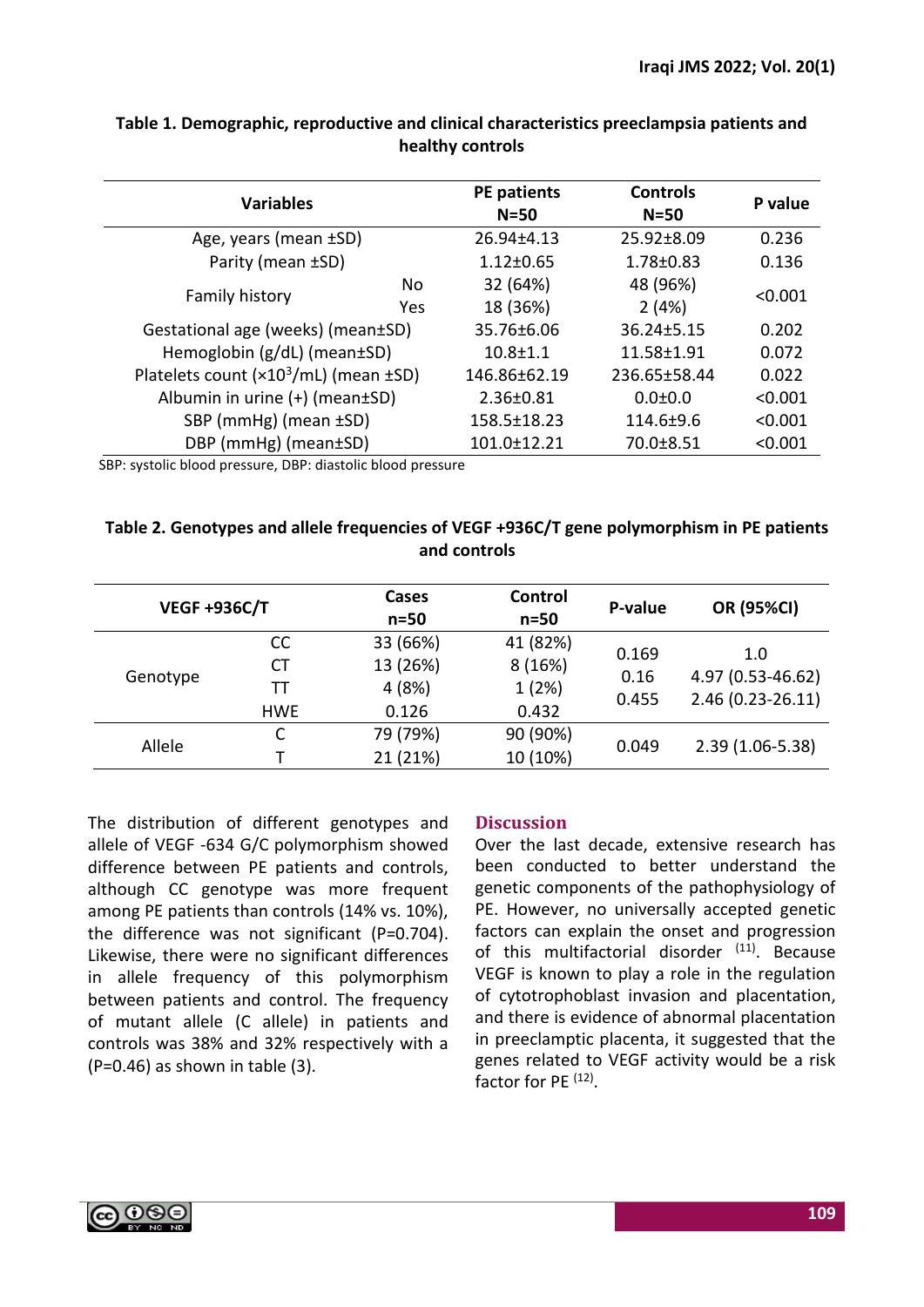| <b>Variables</b>                              |                 | PE patients<br>$N = 50$ | <b>Controls</b><br>$N=50$ | P value |  |
|-----------------------------------------------|-----------------|-------------------------|---------------------------|---------|--|
| Age, years (mean ±SD)                         |                 | 26.94±4.13              | $25.92 \pm 8.09$          | 0.236   |  |
| Parity (mean ±SD)                             |                 | $1.12 \pm 0.65$         | $1.78 \pm 0.83$           | 0.136   |  |
| Family history                                | No.             | 32 (64%)                | 48 (96%)                  | < 0.001 |  |
|                                               | <b>Yes</b>      | 18 (36%)                | 2(4%)                     |         |  |
| Gestational age (weeks) (mean±SD)             |                 | 35.76±6.06              | $36.24 \pm 5.15$          | 0.202   |  |
| Hemoglobin $(g/dL)$ (mean $\pm$ SD)           |                 | $10.8 + 1.1$            | $11.58 \pm 1.91$          | 0.072   |  |
| Platelets count $(x10^3/mL)$ (mean $\pm SD$ ) |                 | 146.86±62.19            | 236.65±58.44              | 0.022   |  |
| Albumin in urine $(+)$ (mean $\pm$ SD)        |                 | $2.36 \pm 0.81$         | $0.0 + 0.0$               | < 0.001 |  |
| SBP (mmHg) (mean ±SD)                         |                 | $158.5 \pm 18.23$       | $114.6 \pm 9.6$           | < 0.001 |  |
| DBP ( $mmHg$ ) ( $mean \pm SD$ )              | $101.0 + 12.21$ | 70.0±8.51               | < 0.001                   |         |  |

# **Table 1. Demographic, reproductive and clinical characteristics preeclampsia patients and healthy controls**

SBP: systolic blood pressure, DBP: diastolic blood pressure

# **Table 2. Genotypes and allele frequencies of VEGF +936C/T gene polymorphism in PE patients and controls**

| <b>VEGF +936C/T</b> |            | Cases<br>$n=50$ | Control<br>$n=50$ | P-value       | <b>OR (95%CI)</b>        |
|---------------------|------------|-----------------|-------------------|---------------|--------------------------|
|                     | <b>CC</b>  | 33 (66%)        | 41 (82%)          | 0.169<br>0.16 | 1.0<br>4.97 (0.53-46.62) |
| Genotype            | <b>CT</b>  | 13 (26%)        | 8(16%)            |               |                          |
|                     | тт         | 4(8%)           | 1(2%)             |               |                          |
|                     | <b>HWE</b> | 0.126           | 0.432             | 0.455         | $2.46(0.23 - 26.11)$     |
| Allele              | C          | 79 (79%)        | 90 (90%)          |               |                          |
|                     |            | 21 (21%)        | 10 (10%)          | 0.049         | $2.39(1.06-5.38)$        |

The distribution of different genotypes and allele of VEGF -634 G/C polymorphism showed difference between PE patients and controls, although CC genotype was more frequent among PE patients than controls (14% vs. 10%), the difference was not significant (P=0.704). Likewise, there were no significant differences in allele frequency of this polymorphism between patients and control. The frequency of mutant allele (C allele) in patients and controls was 38% and 32% respectively with a (P=0.46) as shown in table (3).

### **Discussion**

Over the last decade, extensive research has been conducted to better understand the genetic components of the pathophysiology of PE. However, no universally accepted genetic factors can explain the onset and progression of this multifactorial disorder (11). Because VEGF is known to play a role in the regulation of cytotrophoblast invasion and placentation, and there is evidence of abnormal placentation in preeclamptic placenta, it suggested that the genes related to VEGF activity would be a risk factor for PE<sup>(12)</sup>.

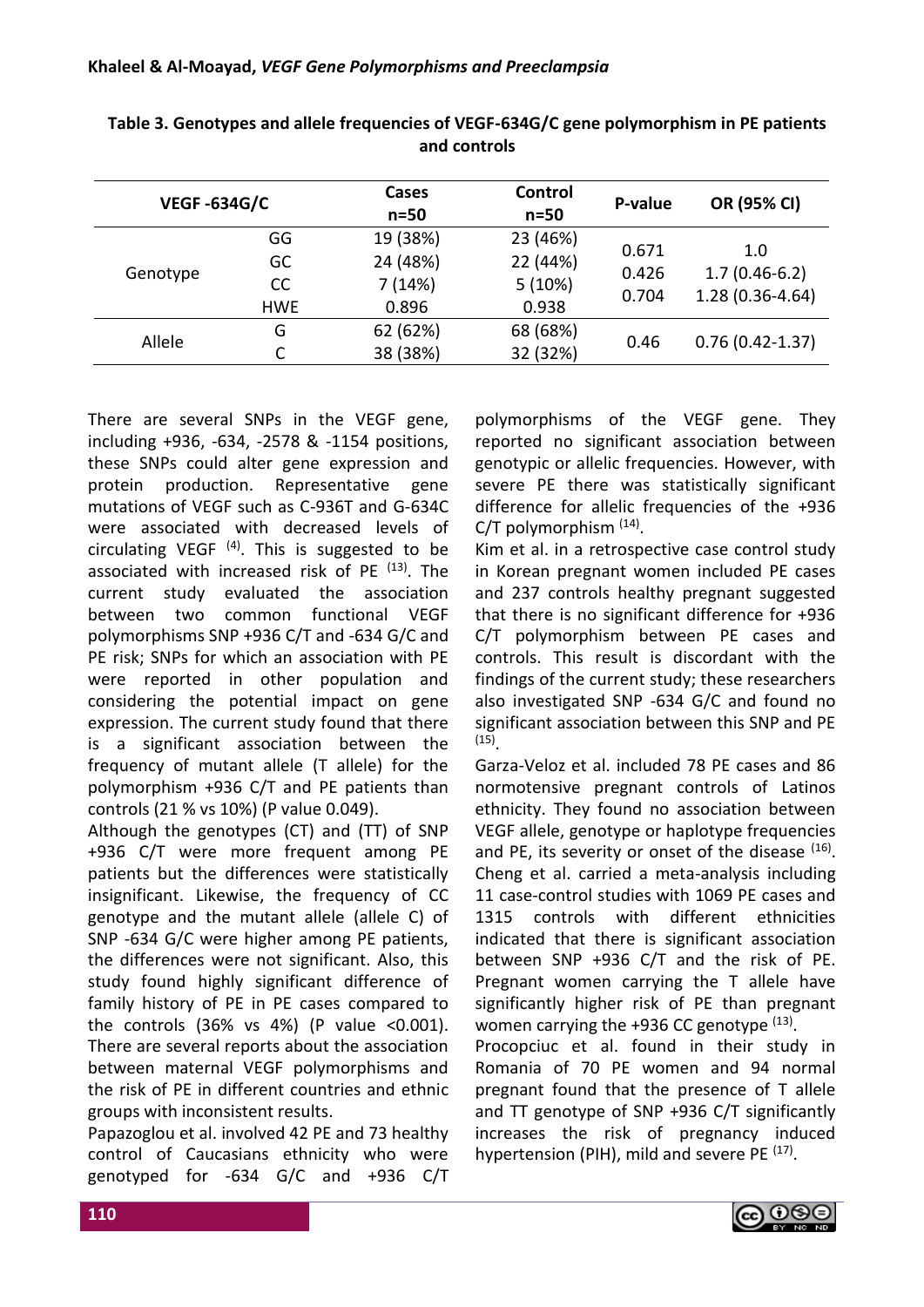| <b>VEGF-634G/C</b> |               | Cases<br>$n=50$ | Control<br>$n=50$ | P-value        | OR (95% CI)            |
|--------------------|---------------|-----------------|-------------------|----------------|------------------------|
|                    | GG            | 19 (38%)        | 23 (46%)          | 0.671<br>0.426 | 1.0<br>$1.7(0.46-6.2)$ |
|                    | GC            | 24 (48%)        | 22 (44%)          |                |                        |
| Genotype           | <sub>CC</sub> | 7(14%)          | 5(10%)            |                |                        |
|                    | <b>HWE</b>    | 0.896           | 0.938             | 0.704          | $1.28(0.36 - 4.64)$    |
|                    | G             | 62 (62%)        | 68 (68%)          |                |                        |
| Allele             |               | 38 (38%)        | 32 (32%)          | 0.46           | $0.76(0.42 - 1.37)$    |

**Table 3. Genotypes and allele frequencies of VEGF-634G/C gene polymorphism in PE patients and controls**

There are several SNPs in the VEGF gene, including +936, -634, -2578 & -1154 positions, these SNPs could alter gene expression and protein production. Representative gene mutations of VEGF such as C-936T and G-634C were associated with decreased levels of circulating VEGF  $(4)$ . This is suggested to be associated with increased risk of PE <sup>(13)</sup>. The current study evaluated the association between two common functional VEGF polymorphisms SNP +936 C/T and -634 G/C and PE risk; SNPs for which an association with PE were reported in other population and considering the potential impact on gene expression. The current study found that there is a significant association between the frequency of mutant allele (T allele) for the polymorphism +936 C/T and PE patients than controls (21 % vs 10%) (P value 0.049).

Although the genotypes (CT) and (TT) of SNP +936 C/T were more frequent among PE patients but the differences were statistically insignificant. Likewise, the frequency of CC genotype and the mutant allele (allele C) of SNP -634 G/C were higher among PE patients, the differences were not significant. Also, this study found highly significant difference of family history of PE in PE cases compared to the controls  $(36\% \text{ vs } 4\%)$  (P value <0.001). There are several reports about the association between maternal VEGF polymorphisms and the risk of PE in different countries and ethnic groups with inconsistent results.

Papazoglou et al. involved 42 PE and 73 healthy control of Caucasians ethnicity who were genotyped for -634 G/C and +936 C/T

polymorphisms of the VEGF gene. They reported no significant association between genotypic or allelic frequencies. However, with severe PE there was statistically significant difference for allelic frequencies of the +936 C/T polymorphism <sup>(14)</sup>.

Kim et al. in a retrospective case control study in Korean pregnant women included PE cases and 237 controls healthy pregnant suggested that there is no significant difference for +936 C/T polymorphism between PE cases and controls. This result is discordant with the findings of the current study; these researchers also investigated SNP -634 G/C and found no significant association between this SNP and PE (15) .

Garza-Veloz et al. included 78 PE cases and 86 normotensive pregnant controls of Latinos ethnicity. They found no association between VEGF allele, genotype or haplotype frequencies and PE, its severity or onset of the disease  $(16)$ . Cheng et al. carried a meta-analysis including 11 case-control studies with 1069 PE cases and 1315 controls with different ethnicities indicated that there is significant association between SNP +936 C/T and the risk of PE. Pregnant women carrying the T allele have significantly higher risk of PE than pregnant women carrying the  $+936$  CC genotype  $(13)$ .

Procopciuc et al. found in their study in Romania of 70 PE women and 94 normal pregnant found that the presence of T allele and TT genotype of SNP +936 C/T significantly increases the risk of pregnancy induced hypertension (PIH), mild and severe PE<sup>(17)</sup>.

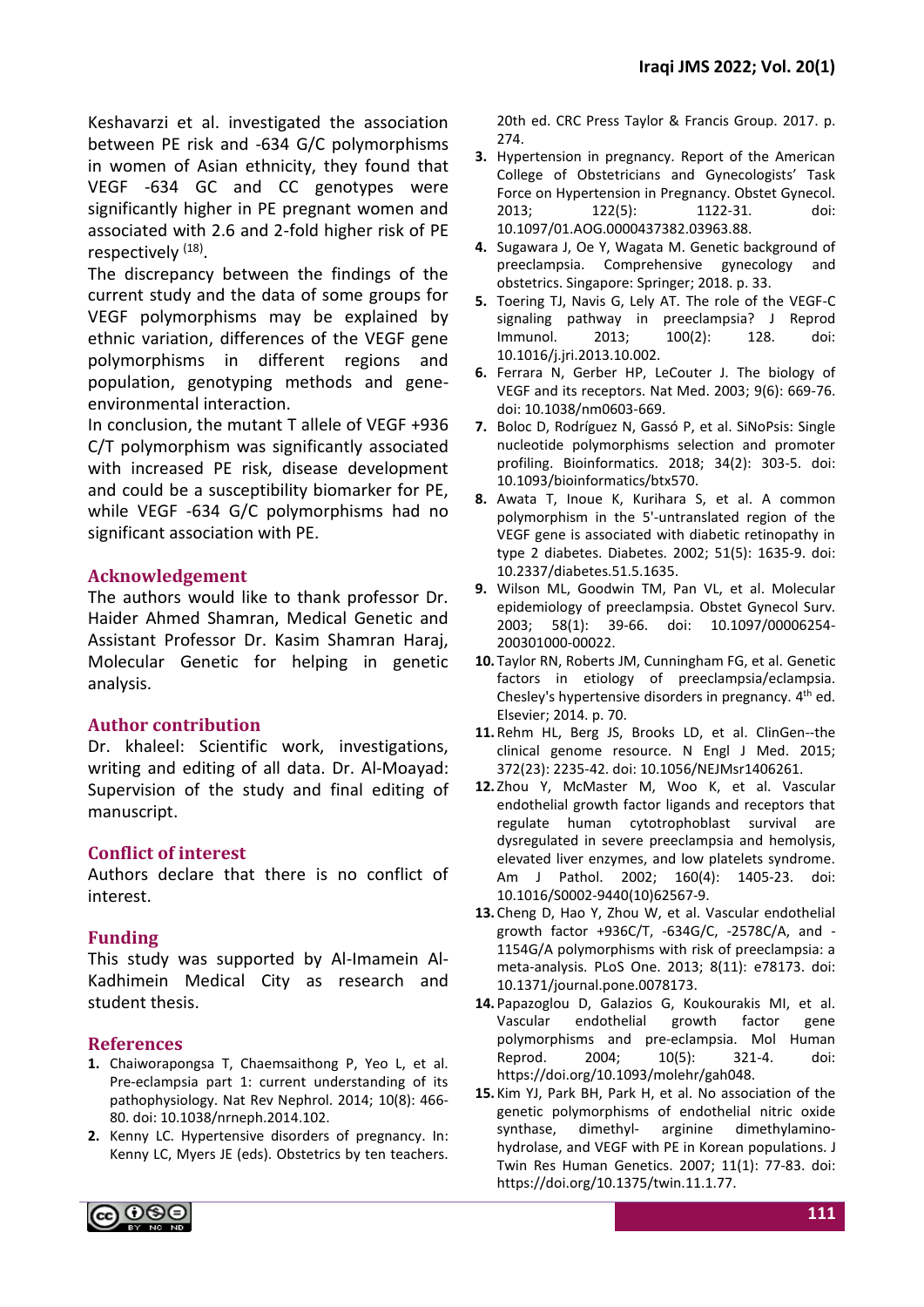Keshavarzi et al. investigated the association between PE risk and -634 G/C polymorphisms in women of Asian ethnicity, they found that VEGF -634 GC and CC genotypes were significantly higher in PE pregnant women and associated with 2.6 and 2-fold higher risk of PE respectively <sup>(18)</sup>.

The discrepancy between the findings of the current study and the data of some groups for VEGF polymorphisms may be explained by ethnic variation, differences of the VEGF gene polymorphisms in different regions and population, genotyping methods and geneenvironmental interaction.

In conclusion, the mutant T allele of VEGF +936 C/T polymorphism was significantly associated with increased PE risk, disease development and could be a susceptibility biomarker for PE, while VEGF -634 G/C polymorphisms had no significant association with PE.

# **Acknowledgement**

The authors would like to thank professor Dr. Haider Ahmed Shamran, Medical Genetic and Assistant Professor Dr. Kasim Shamran Haraj, Molecular Genetic for helping in genetic analysis.

# **Author contribution**

Dr. khaleel: Scientific work, investigations, writing and editing of all data. Dr. Al-Moayad: Supervision of the study and final editing of manuscript.

# **Conflict of interest**

Authors declare that there is no conflict of interest.

# **Funding**

This study was supported by Al-Imamein Al-Kadhimein Medical City as research and student thesis.

# **References**

- **1.** Chaiworapongsa T, Chaemsaithong P, Yeo L, et al. Pre-eclampsia part 1: current understanding of its pathophysiology. Nat Rev Nephrol. 2014; 10(8): 466- 80. doi: 10.1038/nrneph.2014.102.
- **2.** Kenny LC. Hypertensive disorders of pregnancy. In: Kenny LC, Myers JE (eds). Obstetrics by ten teachers.

20th ed. CRC Press Taylor & Francis Group. 2017. p. 274.

- **3.** Hypertension in pregnancy. Report of the American College of Obstetricians and Gynecologists' Task Force on Hypertension in Pregnancy. Obstet Gynecol. 2013; 122(5): 1122-31. doi: 10.1097/01.AOG.0000437382.03963.88.
- **4.** Sugawara J, Oe Y, Wagata M. Genetic background of preeclampsia. Comprehensive gynecology obstetrics. Singapore: Springer; 2018. p. 33.
- **5.** Toering TJ, Navis G, Lely AT. The role of the VEGF-C signaling pathway in preeclampsia? J Reprod Immunol. 2013; 100(2): 128. doi: 10.1016/j.jri.2013.10.002.
- **6.** Ferrara N, Gerber HP, LeCouter J. The biology of VEGF and its receptors. Nat Med. 2003; 9(6): 669-76. doi: 10.1038/nm0603-669.
- **7.** Boloc D, Rodríguez N, Gassó P, et al. SiNoPsis: Single nucleotide polymorphisms selection and promoter profiling. Bioinformatics. 2018; 34(2): 303-5. doi: 10.1093/bioinformatics/btx570.
- **8.** Awata T, Inoue K, Kurihara S, et al. A common polymorphism in the 5'-untranslated region of the VEGF gene is associated with diabetic retinopathy in type 2 diabetes. Diabetes. 2002; 51(5): 1635-9. doi: 10.2337/diabetes.51.5.1635.
- **9.** Wilson ML, Goodwin TM, Pan VL, et al. Molecular epidemiology of preeclampsia. Obstet Gynecol Surv. 2003; 58(1): 39-66. doi: 10.1097/00006254- 200301000-00022.
- **10.** Taylor RN, Roberts JM, Cunningham FG, et al. Genetic factors in etiology of preeclampsia/eclampsia. Chesley's hypertensive disorders in pregnancy. 4<sup>th</sup> ed. Elsevier; 2014. p. 70.
- **11.** Rehm HL, Berg JS, Brooks LD, et al. ClinGen--the clinical genome resource. N Engl J Med. 2015; 372(23): 2235-42. doi: 10.1056/NEJMsr1406261.
- **12.** Zhou Y, McMaster M, Woo K, et al. Vascular endothelial growth factor ligands and receptors that regulate human cytotrophoblast survival are dysregulated in severe preeclampsia and hemolysis, elevated liver enzymes, and low platelets syndrome. Am J Pathol. 2002; 160(4): 1405-23. doi: 10.1016/S0002-9440(10)62567-9.
- **13.** Cheng D, Hao Y, Zhou W, et al. Vascular endothelial growth factor +936C/T, -634G/C, -2578C/A, and - 1154G/A polymorphisms with risk of preeclampsia: a meta-analysis. PLoS One. 2013; 8(11): e78173. doi: 10.1371/journal.pone.0078173.
- **14.** Papazoglou D, Galazios G, Koukourakis MI, et al. Vascular endothelial growth factor gene polymorphisms and pre‐eclampsia. Mol Human Reprod. 2004; 10(5): 321-4. doi: https://doi.org/10.1093/molehr/gah048.
- **15.** Kim YJ, Park BH, Park H, et al. No association of the genetic polymorphisms of endothelial nitric oxide synthase, dimethyl- arginine dimethylaminohydrolase, and VEGF with PE in Korean populations. J Twin Res Human Genetics. 2007; 11(1): 77-83. doi: https://doi.org/10.1375/twin.11.1.77.